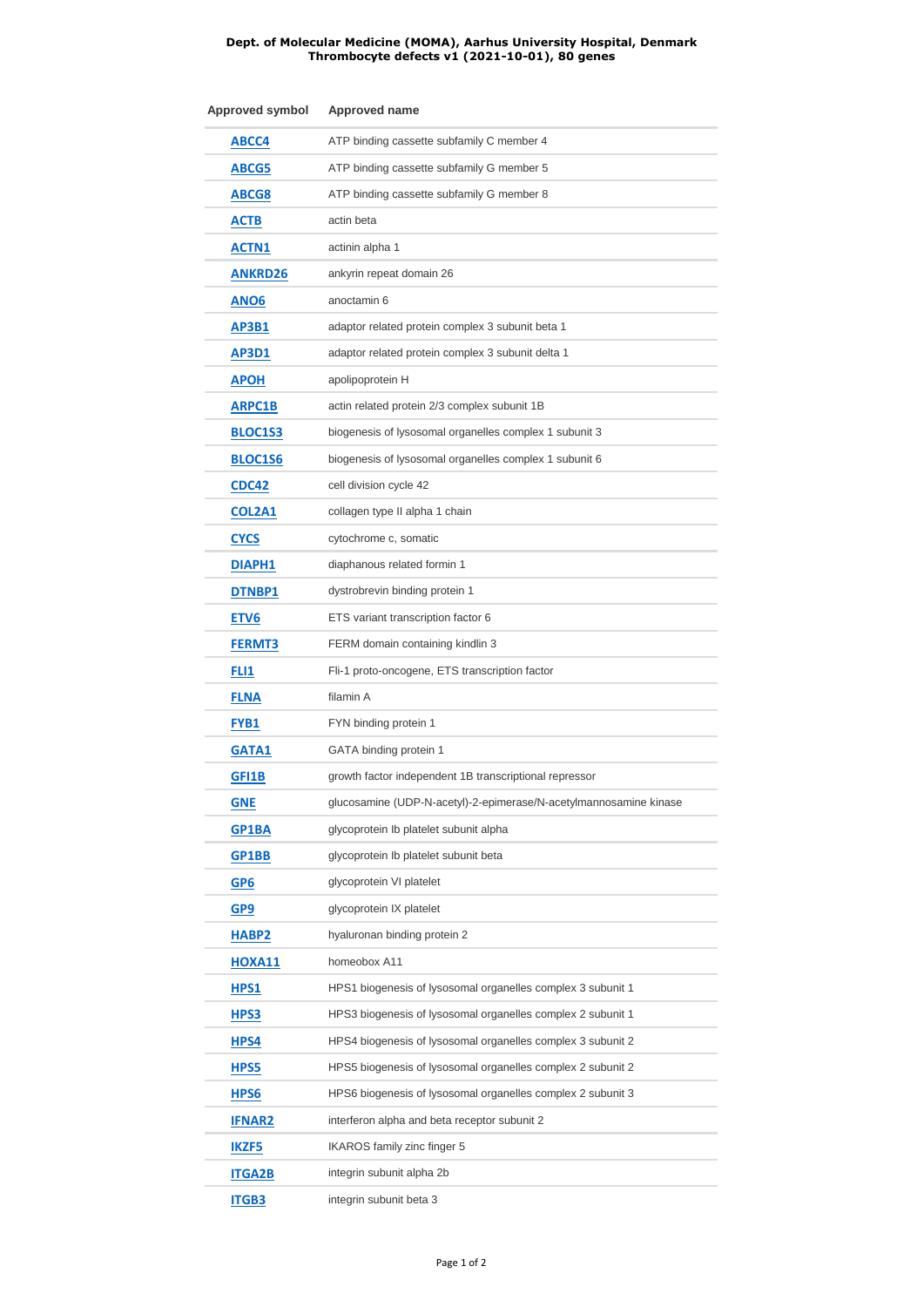## **Dept. of Molecular Medicine (MOMA), Aarhus University Hospital, Denmark Thrombocyte defects v1 (2021-10-01), 80 genes**

| Approved symbol   | Approved name                                                     |
|-------------------|-------------------------------------------------------------------|
| ABCC4             | ATP binding cassette subfamily C member 4                         |
| ABCG5             | ATP binding cassette subfamily G member 5                         |
| ABCG8             | ATP binding cassette subfamily G member 8                         |
| <b>ACTB</b>       | actin beta                                                        |
| <b>ACTN1</b>      | actinin alpha 1                                                   |
| <b>ANKRD26</b>    | ankyrin repeat domain 26                                          |
| ANO <sub>6</sub>  | anoctamin 6                                                       |
| AP3B1             | adaptor related protein complex 3 subunit beta 1                  |
| AP3D1             | adaptor related protein complex 3 subunit delta 1                 |
| <b>APOH</b>       | apolipoprotein H                                                  |
| ARPC1B            | actin related protein 2/3 complex subunit 1B                      |
| BLOC1S3           | biogenesis of lysosomal organelles complex 1 subunit 3            |
| <b>BLOC1S6</b>    | biogenesis of lysosomal organelles complex 1 subunit 6            |
| CDC42             | cell division cycle 42                                            |
| <b>COL2A1</b>     | collagen type II alpha 1 chain                                    |
| <b>CYCS</b>       | cytochrome c, somatic                                             |
| <b>DIAPH1</b>     | diaphanous related formin 1                                       |
| <b>DTNBP1</b>     | dystrobrevin binding protein 1                                    |
| ETV <sub>6</sub>  | ETS variant transcription factor 6                                |
| FERMT3            | FERM domain containing kindlin 3                                  |
| FLI1              | Fli-1 proto-oncogene, ETS transcription factor                    |
| <b>FLNA</b>       | filamin A                                                         |
| <b>FYB1</b>       | FYN binding protein 1                                             |
| GATA1             | GATA binding protein 1                                            |
| GFI1B             | growth factor independent 1B transcriptional repressor            |
| <b>GNE</b>        | glucosamine (UDP-N-acetyl)-2-epimerase/N-acetylmannosamine kinase |
| GP1BA             | glycoprotein Ib platelet subunit alpha                            |
| GP1BB             | glycoprotein Ib platelet subunit beta                             |
| GP6               | glycoprotein VI platelet                                          |
| GP9               | glycoprotein IX platelet                                          |
| HABP <sub>2</sub> | hyaluronan binding protein 2                                      |
| <b>HOXA11</b>     | homeobox A11                                                      |
| HPS1              | HPS1 biogenesis of lysosomal organelles complex 3 subunit 1       |
| <b>HPS3</b>       | HPS3 biogenesis of lysosomal organelles complex 2 subunit 1       |
| HPS4              | HPS4 biogenesis of lysosomal organelles complex 3 subunit 2       |
| HPS5              | HPS5 biogenesis of lysosomal organelles complex 2 subunit 2       |
| HPS6              | HPS6 biogenesis of lysosomal organelles complex 2 subunit 3       |
| <b>IFNAR2</b>     | interferon alpha and beta receptor subunit 2                      |
| <b>IKZF5</b>      | <b>IKAROS</b> family zinc finger 5                                |
| <b>ITGA2B</b>     | integrin subunit alpha 2b                                         |
| <b>ITGB3</b>      | integrin subunit beta 3                                           |